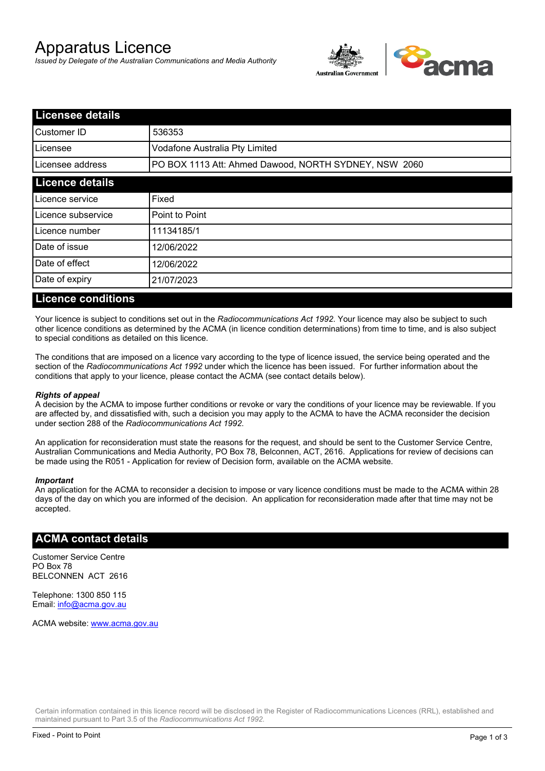# Apparatus Licence

*Issued by Delegate of the Australian Communications and Media Authority*



| <b>Licensee details</b> |                                                       |  |
|-------------------------|-------------------------------------------------------|--|
| lCustomer ID            | 536353                                                |  |
| ILicensee               | Vodafone Australia Pty Limited                        |  |
| Licensee address        | PO BOX 1113 Att: Ahmed Dawood, NORTH SYDNEY, NSW 2060 |  |
| <b>Licence details</b>  |                                                       |  |
| Licence service         | Fixed                                                 |  |
| Licence subservice      | Point to Point                                        |  |
| Licence number          | 11134185/1                                            |  |
| Date of issue           | 12/06/2022                                            |  |
| Date of effect          | 12/06/2022                                            |  |
| Date of expiry          | 21/07/2023                                            |  |
|                         |                                                       |  |

#### **Licence conditions**

Your licence is subject to conditions set out in the *Radiocommunications Act 1992*. Your licence may also be subject to such other licence conditions as determined by the ACMA (in licence condition determinations) from time to time, and is also subject to special conditions as detailed on this licence.

The conditions that are imposed on a licence vary according to the type of licence issued, the service being operated and the section of the *Radiocommunications Act 1992* under which the licence has been issued. For further information about the conditions that apply to your licence, please contact the ACMA (see contact details below).

#### *Rights of appeal*

A decision by the ACMA to impose further conditions or revoke or vary the conditions of your licence may be reviewable. If you are affected by, and dissatisfied with, such a decision you may apply to the ACMA to have the ACMA reconsider the decision under section 288 of the *Radiocommunications Act 1992*.

An application for reconsideration must state the reasons for the request, and should be sent to the Customer Service Centre, Australian Communications and Media Authority, PO Box 78, Belconnen, ACT, 2616. Applications for review of decisions can be made using the R051 - Application for review of Decision form, available on the ACMA website.

#### *Important*

An application for the ACMA to reconsider a decision to impose or vary licence conditions must be made to the ACMA within 28 days of the day on which you are informed of the decision. An application for reconsideration made after that time may not be accepted.

#### **ACMA contact details**

Customer Service Centre PO Box 78 BELCONNEN ACT 2616

Telephone: 1300 850 115 Email: info@acma.gov.au

ACMA website: www.acma.gov.au

Certain information contained in this licence record will be disclosed in the Register of Radiocommunications Licences (RRL), established and maintained pursuant to Part 3.5 of the *Radiocommunications Act 1992.*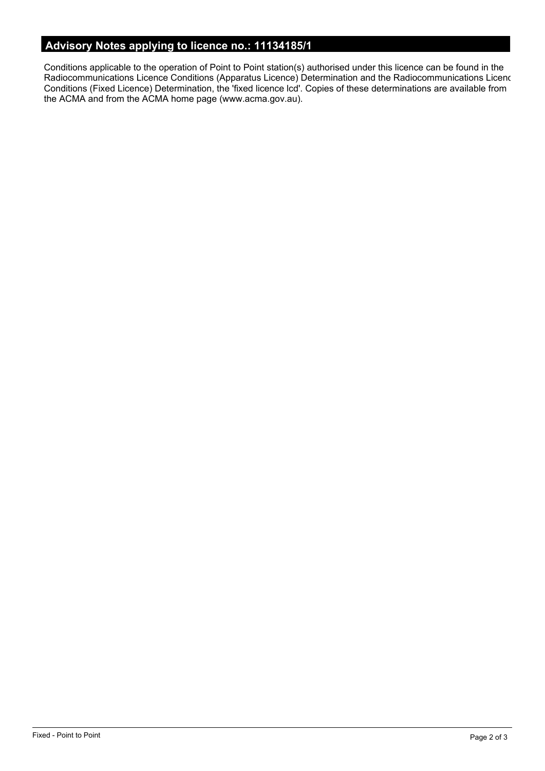# **Advisory Notes applying to licence no.: 11134185/1**

Conditions applicable to the operation of Point to Point station(s) authorised under this licence can be found in the Radiocommunications Licence Conditions (Apparatus Licence) Determination and the Radiocommunications Licence Conditions (Fixed Licence) Determination, the 'fixed licence lcd'. Copies of these determinations are available from the ACMA and from the ACMA home page (www.acma.gov.au).